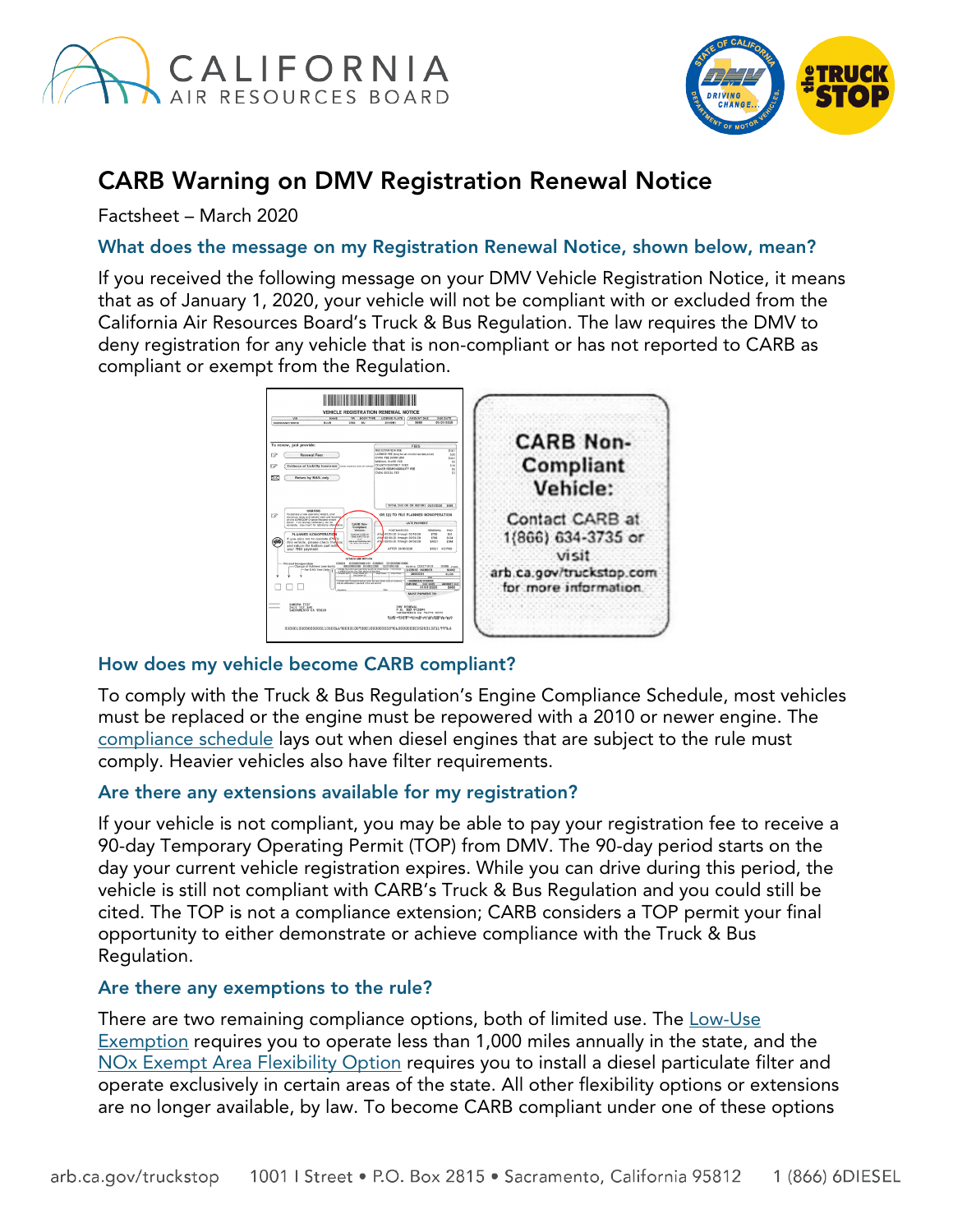



# CARB Warning on DMV Registration Renewal Notice

Factsheet – March 2020

## What does the message on my Registration Renewal Notice, shown below, mean?

If you received the following message on your DMV Vehicle Registration Notice, it means that as of January 1, 2020, your vehicle will not be compliant with or excluded from the California Air Resources Board's Truck & Bus Regulation. The law requires the DMV to deny registration for any vehicle that is non-compliant or has not reported to CARB as compliant or exempt from the Regulation.



# How does my vehicle become CARB compliant?

To comply with the Truck & Bus Regulation's Engine Compliance Schedule, most vehicles must be replaced or the engine must be repowered with a 2010 or newer engine. The [compliance](https://ww3.arb.ca.gov/msprog/truckstop/images/complianceschedule.png) schedule lays out when diesel engines that are subject to the rule must comply. Heavier vehicles also have filter requirements.

#### Are there any extensions available for my registration?

If your vehicle is not compliant, you may be able to pay your registration fee to receive a 90-day Temporary Operating Permit (TOP) from DMV. The 90-day period starts on the day your current vehicle registration expires. While you can drive during this period, the vehicle is still not compliant with CARB's Truck & Bus Regulation and you could still be cited. The TOP is not a compliance extension; CARB considers a TOP permit your final opportunity to either demonstrate or achieve compliance with the Truck & Bus Regulation.

#### Are there any exemptions to the rule?

There are two remaining compliance options, both of limited use. The [Low-Use](https://ww3.arb.ca.gov/msprog/onrdiesel/documents/fslowuse.pdf?_ga=2.267330957.2006616088.1571076238-931033255.1570467331) [Exemption](https://ww3.arb.ca.gov/msprog/onrdiesel/documents/fslowuse.pdf?_ga=2.267330957.2006616088.1571076238-931033255.1570467331) requires you to operate less than 1,000 miles annually in the state, and the NOx Exempt [Area Flexibility Option](https://ww3.arb.ca.gov/msprog/onrdiesel/documents/fsnoxexempt.pdf?_ga=2.19762619.2006616088.1571076238-931033255.1570467331) requires you to install a diesel particulate filter and operate exclusively in certain areas of the state. All other flexibility options or extensions are no longer available, by law. To become CARB compliant under one of these options